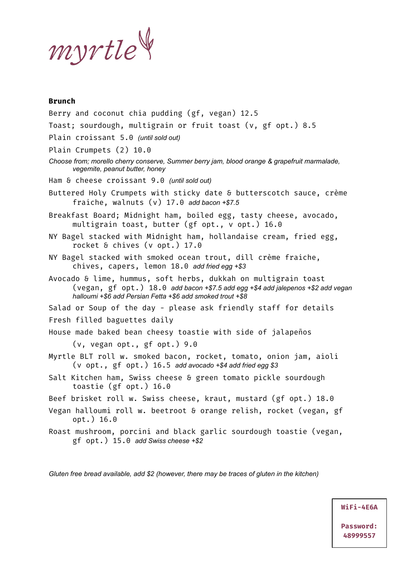myrtle

### **Brunch**

Berry and coconut chia pudding (gf, vegan) 12.5 Toast; sourdough, multigrain or fruit toast (v, gf opt.) 8.5 Plain croissant 5.0 *(until sold out)* Plain Crumpets (2) 10.0 *Choose from; morello cherry conserve, Summer berry jam, blood orange & grapefruit marmalade, vegemite, peanut butter, honey* Ham & cheese croissant 9.0 *(until sold out)* Buttered Holy Crumpets with sticky date & butterscotch sauce, crème fraiche, walnuts (v) 17.0 *add bacon +\$7.5* Breakfast Board; Midnight ham, boiled egg, tasty cheese, avocado, multigrain toast, butter (gf opt., v opt.) 16.0 NY Bagel stacked with Midnight ham, hollandaise cream, fried egg, rocket & chives (v opt.) 17.0 NY Bagel stacked with smoked ocean trout, dill crème fraiche, chives, capers, lemon 18.0 *add fried egg +\$3* Avocado & lime, hummus, soft herbs, dukkah on multigrain toast (vegan, gf opt.) 18.0 *add bacon +\$7.5 add egg +\$4 add jalepenos +\$2 add vegan halloumi +\$6 add Persian Fetta +\$6 add smoked trout +\$8* Salad or Soup of the day - please ask friendly staff for details Fresh filled baguettes daily House made baked bean cheesy toastie with side of jalapeños (v, vegan opt., gf opt.) 9.0 Myrtle BLT roll w. smoked bacon, rocket, tomato, onion jam, aioli (v opt., gf opt.) 16.5 *add avocado +\$4 add fried egg \$3* Salt Kitchen ham, Swiss cheese & green tomato pickle sourdough toastie (gf opt.) 16.0 Beef brisket roll w. Swiss cheese, kraut, mustard (gf opt.) 18.0 Vegan halloumi roll w. beetroot & orange relish, rocket (vegan, gf opt.) 16.0 Roast mushroom, porcini and black garlic sourdough toastie (vegan, gf opt.) 15.0 *add Swiss cheese +\$2*

*Gluten free bread available, add \$2 (however, there may be traces of gluten in the kitchen)*

**WiFi-4E6A**

**Password: 48999557**